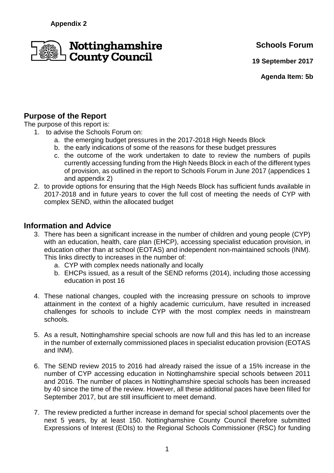

**Schools Forum**

**19 September 2017**

**Agenda Item: 5b**

# **Purpose of the Report**

The purpose of this report is:

1. to advise the Schools Forum on:

- a. the emerging budget pressures in the 2017-2018 High Needs Block
- b. the early indications of some of the reasons for these budget pressures
- c. the outcome of the work undertaken to date to review the numbers of pupils currently accessing funding from the High Needs Block in each of the different types of provision, as outlined in the report to Schools Forum in June 2017 (appendices 1 and appendix 2)
- 2. to provide options for ensuring that the High Needs Block has sufficient funds available in 2017-2018 and in future years to cover the full cost of meeting the needs of CYP with complex SEND, within the allocated budget

### **Information and Advice**

- 3. There has been a significant increase in the number of children and young people (CYP) with an education, health, care plan (EHCP), accessing specialist education provision, in education other than at school (EOTAS) and independent non-maintained schools (INM). This links directly to increases in the number of:
	- a. CYP with complex needs nationally and locally
	- b. EHCPs issued, as a result of the SEND reforms (2014), including those accessing education in post 16
- 4. These national changes, coupled with the increasing pressure on schools to improve attainment in the context of a highly academic curriculum, have resulted in increased challenges for schools to include CYP with the most complex needs in mainstream schools.
- 5. As a result, Nottinghamshire special schools are now full and this has led to an increase in the number of externally commissioned places in specialist education provision (EOTAS and INM).
- 6. The SEND review 2015 to 2016 had already raised the issue of a 15% increase in the number of CYP accessing education in Nottinghamshire special schools between 2011 and 2016. The number of places in Nottinghamshire special schools has been increased by 40 since the time of the review. However, all these additional paces have been filled for September 2017, but are still insufficient to meet demand.
- 7. The review predicted a further increase in demand for special school placements over the next 5 years, by at least 150. Nottinghamshire County Council therefore submitted Expressions of Interest (EOIs) to the Regional Schools Commissioner (RSC) for funding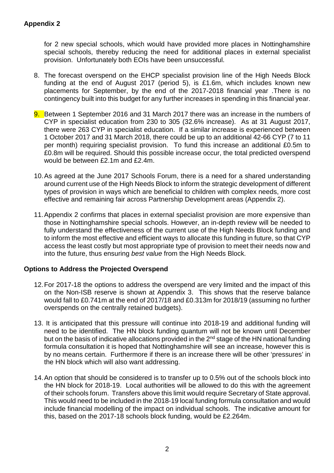for 2 new special schools, which would have provided more places in Nottinghamshire special schools, thereby reducing the need for additional places in external specialist provision. Unfortunately both EOIs have been unsuccessful.

- 8. The forecast overspend on the EHCP specialist provision line of the High Needs Block funding at the end of August 2017 (period 5), is £1.6m, which includes known new placements for September, by the end of the 2017-2018 financial year .There is no contingency built into this budget for any further increases in spending in this financial year.
- 9. Between 1 September 2016 and 31 March 2017 there was an increase in the numbers of CYP in specialist education from 230 to 305 (32.6% increase). As at 31 August 2017, there were 263 CYP in specialist education. If a similar increase is experienced between 1 October 2017 and 31 March 2018, there could be up to an additional 42-66 CYP (7 to 11 per month) requiring specialist provision. To fund this increase an additional £0.5m to £0.8m will be required. Should this possible increase occur, the total predicted overspend would be between £2.1m and £2.4m.
- 10. As agreed at the June 2017 Schools Forum, there is a need for a shared understanding around current use of the High Needs Block to inform the strategic development of different types of provision in ways which are beneficial to children with complex needs, more cost effective and remaining fair across Partnership Development areas (Appendix 2).
- 11. Appendix 2 confirms that places in external specialist provision are more expensive than those in Nottinghamshire special schools. However, an in-depth review will be needed to fully understand the effectiveness of the current use of the High Needs Block funding and to inform the most effective and efficient ways to allocate this funding in future, so that CYP access the least costly but most appropriate type of provision to meet their needs now and into the future, thus ensuring best value from the High Needs Block.

#### **Options to Address the Projected Overspend**

- 12. For 2017-18 the options to address the overspend are very limited and the impact of this on the Non-ISB reserve is shown at Appendix 3. This shows that the reserve balance would fall to £0.741m at the end of 2017/18 and £0.313m for 2018/19 (assuming no further overspends on the centrally retained budgets).
- 13. It is anticipated that this pressure will continue into 2018-19 and additional funding will need to be identified. The HN block funding quantum will not be known until December but on the basis of indicative allocations provided in the  $2^{nd}$  stage of the HN national funding formula consultation it is hoped that Nottinghamshire will see an increase, however this is by no means certain. Furthermore if there is an increase there will be other 'pressures' in the HN block which will also want addressing.
- 14. An option that should be considered is to transfer up to 0.5% out of the schools block into the HN block for 2018-19. Local authorities will be allowed to do this with the agreement of their schools forum. Transfers above this limit would require Secretary of State approval. This would need to be included in the 2018-19 local funding formula consultation and would include financial modelling of the impact on individual schools. The indicative amount for this, based on the 2017-18 schools block funding, would be £2.264m.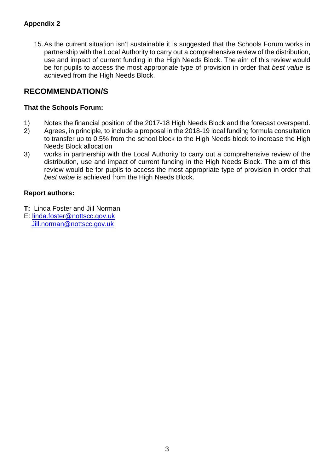### **Appendix 2**

15. As the current situation isn't sustainable it is suggested that the Schools Forum works in partnership with the Local Authority to carry out a comprehensive review of the distribution, use and impact of current funding in the High Needs Block. The aim of this review would be for pupils to access the most appropriate type of provision in order that best value is achieved from the High Needs Block.

### **RECOMMENDATION/S**

#### **That the Schools Forum:**

- 1) Notes the financial position of the 2017-18 High Needs Block and the forecast overspend.
- 2) Agrees, in principle, to include a proposal in the 2018-19 local funding formula consultation to transfer up to 0.5% from the school block to the High Needs block to increase the High Needs Block allocation
- 3) works in partnership with the Local Authority to carry out a comprehensive review of the distribution, use and impact of current funding in the High Needs Block. The aim of this review would be for pupils to access the most appropriate type of provision in order that best value is achieved from the High Needs Block.

### **Report authors:**

- **T:** Linda Foster and Jill Norman
- E: linda.foster@nottscc.gov.uk Jill.norman@nottscc.gov.uk